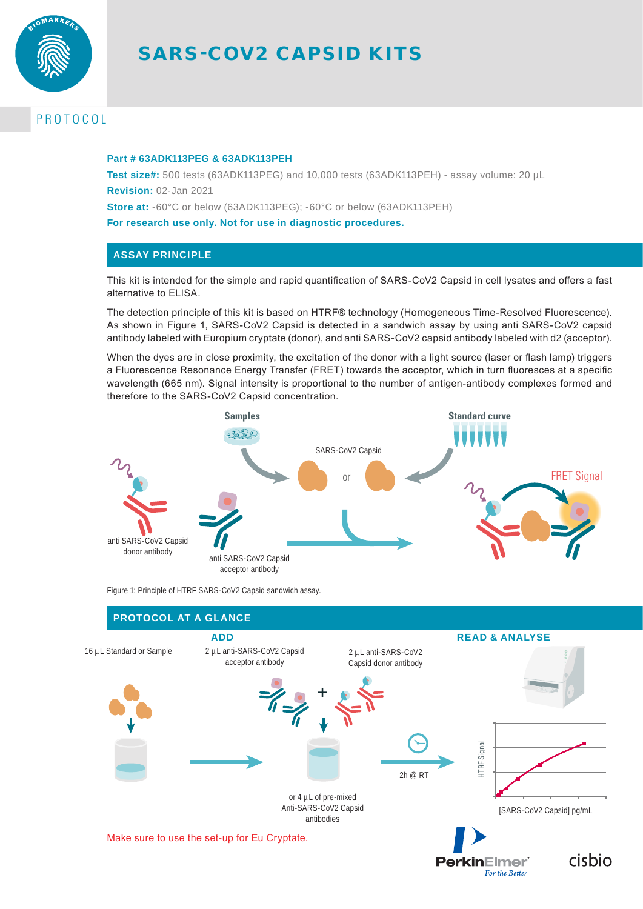

# SARS-COV2 CAPSID KITS

# PROTOCOL

### **Part # 63ADK113PEG & 63ADK113PEH**

**Test size#:** 500 tests (63ADK113PEG) and 10,000 tests (63ADK113PEH) - assay volume: 20 µL **Revision:** 02-Jan 2021

**Store at:** -60°C or below (63ADK113PEG); -60°C or below (63ADK113PEH)

**For research use only. Not for use in diagnostic procedures.**

# **ASSAY PRINCIPLE**

This kit is intended for the simple and rapid quantification of SARS-CoV2 Capsid in cell lysates and offers a fast alternative to ELISA.

The detection principle of this kit is based on HTRF® technology (Homogeneous Time-Resolved Fluorescence). As shown in Figure 1, SARS-CoV2 Capsid is detected in a sandwich assay by using anti SARS-CoV2 capsid antibody labeled with Europium cryptate (donor), and anti SARS-CoV2 capsid antibody labeled with d2 (acceptor).

When the dyes are in close proximity, the excitation of the donor with a light source (laser or flash lamp) triggers a Fluorescence Resonance Energy Transfer (FRET) towards the acceptor, which in turn fluoresces at a specific wavelength (665 nm). Signal intensity is proportional to the number of antigen-antibody complexes formed and therefore to the SARS-CoV2 Capsid concentration.



Figure 1: Principle of HTRF SARS-CoV2 Capsid sandwich assay.

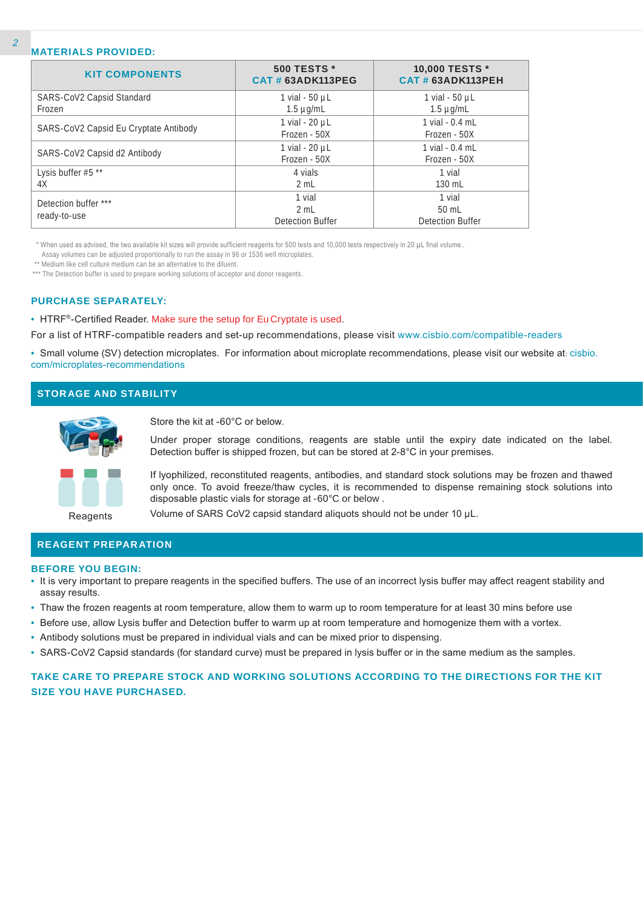## **MATERIALS PROVIDED:**

| <b>KIT COMPONENTS</b>                 | 500 TESTS *<br><b>CAT # 63ADK113PEG</b>   | 10,000 TESTS *<br><b>CAT # 63ADK113PEH</b> |
|---------------------------------------|-------------------------------------------|--------------------------------------------|
| SARS-CoV2 Capsid Standard<br>Frozen   | 1 vial - 50 µL<br>$1.5 \mu q/mL$          | 1 vial - $50 \mu L$<br>$1.5 \mu q/mL$      |
| SARS-CoV2 Capsid Eu Cryptate Antibody | 1 vial - 20 µL<br>Frozen - 50X            | 1 vial $-0.4$ mL<br>Frozen - 50X           |
| SARS-CoV2 Capsid d2 Antibody          | 1 vial - 20 µL<br>Frozen - 50X            | 1 vial - 0.4 mL<br>Frozen - 50X            |
| Lysis buffer #5 **<br>4X              | 4 vials<br>2 mL                           | 1 vial<br>130 mL                           |
| Detection buffer ***<br>ready-to-use  | 1 vial<br>2 mL<br><b>Detection Buffer</b> | 1 vial<br>$50$ mL<br>Detection Buffer      |

\* When used as advised, the two available kit sizes will provide sufficient reagents for 500 tests and 10,000 tests respectively in 20 µL final volume..

Assay volumes can be adjusted proportionally to run the assay in 96 or 1536 well microplates.

\*\* Medium like cell culture medium can be an alternative to the diluent.

\*\*\* The Detection buffer is used to prepare working solutions of acceptor and donor reagents.

#### **PURCHASE SEPARATELY:**

• HTRF®-Certified Reader. Make sure the setup for Eu Cryptate is used.

For a list of HTRF-compatible readers and set-up recommendations, please visit www.cisbio.com/compatible-readers

• Small volume (SV) detection microplates. For information about microplate recommendations, please visit our website at: cisbio. com/microplates-recommendations

# **STORAGE AND STABILITY**



Store the kit at -60°C or below.

Under proper storage conditions, reagents are stable until the expiry date indicated on the label. Detection buffer is shipped frozen, but can be stored at 2-8°C in your premises.

If lyophilized, reconstituted reagents, antibodies, and standard stock solutions may be frozen and thawed only once. To avoid freeze/thaw cycles, it is recommended to dispense remaining stock solutions into disposable plastic vials for storage at -60°C or below .

Reagents

Volume of SARS CoV2 capsid standard aliquots should not be under 10 µL.

# **REAGENT PREPARATION**

#### **BEFORE YOU BEGIN:**

- It is very important to prepare reagents in the specified buffers. The use of an incorrect lysis buffer may affect reagent stability and assay results.
- Thaw the frozen reagents at room temperature, allow them to warm up to room temperature for at least 30 mins before use
- Before use, allow Lysis buffer and Detection buffer to warm up at room temperature and homogenize them with a vortex.
- Antibody solutions must be prepared in individual vials and can be mixed prior to dispensing.
- SARS-CoV2 Capsid standards (for standard curve) must be prepared in lysis buffer or in the same medium as the samples.

# **TAKE CARE TO PREPARE STOCK AND WORKING SOLUTIONS ACCORDING TO THE DIRECTIONS FOR THE KIT SIZE YOU HAVE PURCHASED.**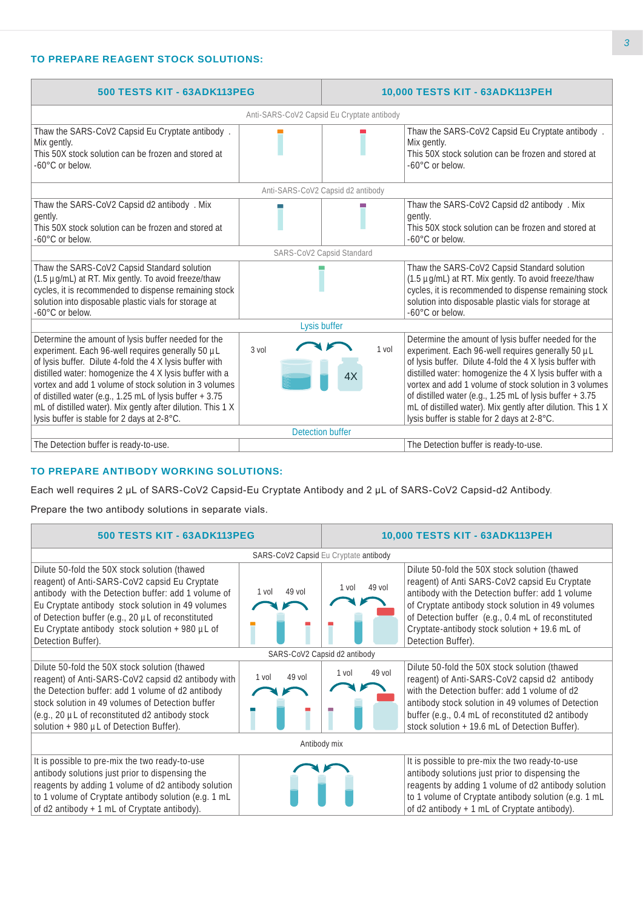# **TO PREPARE REAGENT STOCK SOLUTIONS:**

| 500 TESTS KIT - 63ADK113PEG                                                                                                                                                                                                                                                                                                                                                                                                                                         |                                            | 10,000 TESTS KIT - 63ADK113PEH |                                                                                                                                                                                                                                                                                                                                                                                                                                                                     |
|---------------------------------------------------------------------------------------------------------------------------------------------------------------------------------------------------------------------------------------------------------------------------------------------------------------------------------------------------------------------------------------------------------------------------------------------------------------------|--------------------------------------------|--------------------------------|---------------------------------------------------------------------------------------------------------------------------------------------------------------------------------------------------------------------------------------------------------------------------------------------------------------------------------------------------------------------------------------------------------------------------------------------------------------------|
|                                                                                                                                                                                                                                                                                                                                                                                                                                                                     | Anti-SARS-CoV2 Capsid Eu Cryptate antibody |                                |                                                                                                                                                                                                                                                                                                                                                                                                                                                                     |
| Thaw the SARS-CoV2 Capsid Eu Cryptate antibody.<br>Mix gently.<br>This 50X stock solution can be frozen and stored at<br>-60°C or below.                                                                                                                                                                                                                                                                                                                            |                                            |                                | Thaw the SARS-CoV2 Capsid Eu Cryptate antibody.<br>Mix gently.<br>This 50X stock solution can be frozen and stored at<br>-60°C or below.                                                                                                                                                                                                                                                                                                                            |
|                                                                                                                                                                                                                                                                                                                                                                                                                                                                     | Anti-SARS-CoV2 Capsid d2 antibody          |                                |                                                                                                                                                                                                                                                                                                                                                                                                                                                                     |
| Thaw the SARS-CoV2 Capsid d2 antibody . Mix<br>gently.<br>This 50X stock solution can be frozen and stored at<br>$-60^{\circ}$ C or below.                                                                                                                                                                                                                                                                                                                          |                                            |                                | Thaw the SARS-CoV2 Capsid d2 antibody . Mix<br>gently.<br>This 50X stock solution can be frozen and stored at<br>-60°C or below.                                                                                                                                                                                                                                                                                                                                    |
|                                                                                                                                                                                                                                                                                                                                                                                                                                                                     | SARS-CoV2 Capsid Standard                  |                                |                                                                                                                                                                                                                                                                                                                                                                                                                                                                     |
| Thaw the SARS-CoV2 Capsid Standard solution<br>(1.5 µg/mL) at RT. Mix gently. To avoid freeze/thaw<br>cycles, it is recommended to dispense remaining stock<br>solution into disposable plastic vials for storage at<br>-60°C or below.                                                                                                                                                                                                                             |                                            |                                | Thaw the SARS-CoV2 Capsid Standard solution<br>(1.5 µg/mL) at RT. Mix gently. To avoid freeze/thaw<br>cycles, it is recommended to dispense remaining stock<br>solution into disposable plastic vials for storage at<br>$-60^{\circ}$ C or below.                                                                                                                                                                                                                   |
|                                                                                                                                                                                                                                                                                                                                                                                                                                                                     | Lysis buffer                               |                                |                                                                                                                                                                                                                                                                                                                                                                                                                                                                     |
| Determine the amount of lysis buffer needed for the<br>experiment. Each 96-well requires generally 50 µL<br>of lysis buffer. Dilute 4-fold the 4 X lysis buffer with<br>distilled water: homogenize the 4 X lysis buffer with a<br>vortex and add 1 volume of stock solution in 3 volumes<br>of distilled water (e.g., 1.25 mL of lysis buffer + 3.75<br>mL of distilled water). Mix gently after dilution. This 1 X<br>lysis buffer is stable for 2 days at 2-8°C. | $3$ vol                                    | 1 vol<br>4X                    | Determine the amount of lysis buffer needed for the<br>experiment. Each 96-well requires generally 50 µL<br>of lysis buffer. Dilute 4-fold the 4 X lysis buffer with<br>distilled water: homogenize the 4 X lysis buffer with a<br>vortex and add 1 volume of stock solution in 3 volumes<br>of distilled water (e.g., 1.25 mL of lysis buffer + 3.75<br>mL of distilled water). Mix gently after dilution. This 1 X<br>lysis buffer is stable for 2 days at 2-8°C. |
|                                                                                                                                                                                                                                                                                                                                                                                                                                                                     | <b>Detection buffer</b>                    |                                |                                                                                                                                                                                                                                                                                                                                                                                                                                                                     |
| The Detection buffer is ready-to-use.                                                                                                                                                                                                                                                                                                                                                                                                                               |                                            |                                | The Detection buffer is ready-to-use.                                                                                                                                                                                                                                                                                                                                                                                                                               |

# **TO PREPARE ANTIBODY WORKING SOLUTIONS:**

Each well requires 2 µL of SARS-CoV2 Capsid-Eu Cryptate Antibody and 2 µL of SARS-CoV2 Capsid-d2 Antibody.

Prepare the two antibody solutions in separate vials.

| 500 TESTS KIT - 63ADK113PEG                                                                                                                                                                                                                                                                                                              |                   |                   | 10,000 TESTS KIT - 63ADK113PEH                                                                                                                                                                                                                                                                                                       |  |
|------------------------------------------------------------------------------------------------------------------------------------------------------------------------------------------------------------------------------------------------------------------------------------------------------------------------------------------|-------------------|-------------------|--------------------------------------------------------------------------------------------------------------------------------------------------------------------------------------------------------------------------------------------------------------------------------------------------------------------------------------|--|
| SARS-CoV2 Capsid Eu Cryptate antibody                                                                                                                                                                                                                                                                                                    |                   |                   |                                                                                                                                                                                                                                                                                                                                      |  |
| Dilute 50-fold the 50X stock solution (thawed<br>reagent) of Anti-SARS-CoV2 capsid Eu Cryptate<br>antibody with the Detection buffer: add 1 volume of<br>Eu Cryptate antibody stock solution in 49 volumes<br>of Detection buffer (e.g., 20 µL of reconstituted<br>Eu Cryptate antibody stock solution + 980 µL of<br>Detection Buffer). | 49 vol<br>1 vol   | $49$ vol<br>1 vol | Dilute 50-fold the 50X stock solution (thawed<br>reagent) of Anti SARS-CoV2 capsid Eu Cryptate<br>antibody with the Detection buffer: add 1 volume<br>of Cryptate antibody stock solution in 49 volumes<br>of Detection buffer (e.g., 0.4 mL of reconstituted<br>Cryptate-antibody stock solution + 19.6 mL of<br>Detection Buffer). |  |
| SARS-CoV2 Capsid d2 antibody                                                                                                                                                                                                                                                                                                             |                   |                   |                                                                                                                                                                                                                                                                                                                                      |  |
| Dilute 50-fold the 50X stock solution (thawed<br>reagent) of Anti-SARS-CoV2 capsid d2 antibody with<br>the Detection buffer: add 1 volume of d2 antibody<br>stock solution in 49 volumes of Detection buffer<br>(e.g., 20 µL of reconstituted d2 antibody stock<br>solution + 980 µL of Detection Buffer).                               | $49$ vol<br>1 vol | $49$ vol<br>1 vol | Dilute 50-fold the 50X stock solution (thawed<br>reagent) of Anti-SARS-CoV2 capsid d2 antibody<br>with the Detection buffer: add 1 volume of d2<br>antibody stock solution in 49 volumes of Detection<br>buffer (e.g., 0.4 mL of reconstituted d2 antibody<br>stock solution + 19.6 mL of Detection Buffer).                         |  |
| Antibody mix                                                                                                                                                                                                                                                                                                                             |                   |                   |                                                                                                                                                                                                                                                                                                                                      |  |
| It is possible to pre-mix the two ready-to-use<br>antibody solutions just prior to dispensing the<br>reagents by adding 1 volume of d2 antibody solution<br>to 1 volume of Cryptate antibody solution (e.g. 1 mL<br>of d2 antibody + 1 mL of Cryptate antibody).                                                                         |                   |                   | It is possible to pre-mix the two ready-to-use<br>antibody solutions just prior to dispensing the<br>reagents by adding 1 volume of d2 antibody solution<br>to 1 volume of Cryptate antibody solution (e.g. 1 mL<br>of d2 antibody + 1 mL of Cryptate antibody).                                                                     |  |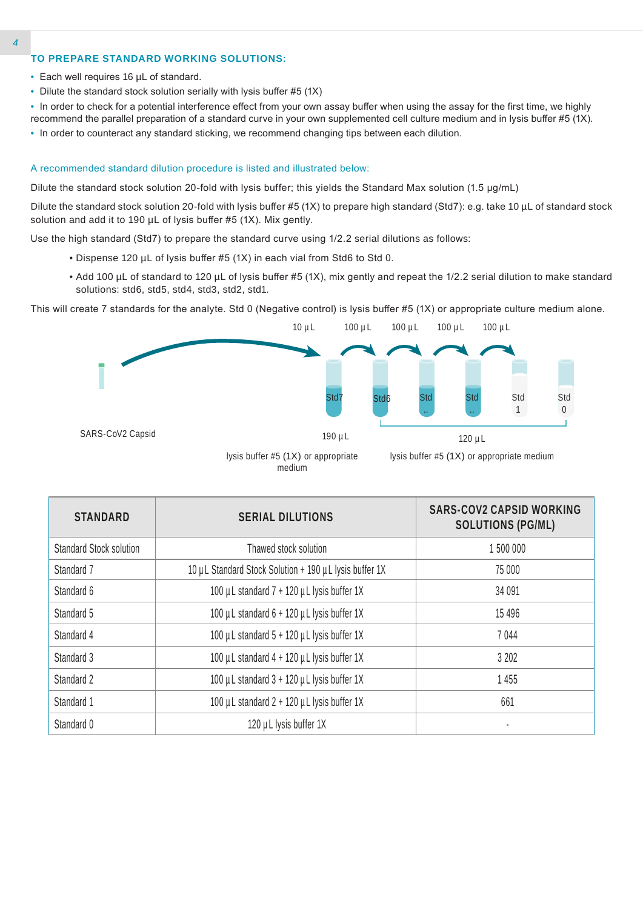# **TO PREPARE STANDARD WORKING SOLUTIONS:**

- Each well requires 16 µL of standard.
- Dilute the standard stock solution serially with lysis buffer #5 (1X)
- In order to check for a potential interference effect from your own assay buffer when using the assay for the first time, we highly recommend the parallel preparation of a standard curve in your own supplemented cell culture medium and in lysis buffer #5 (1X).
- In order to counteract any standard sticking, we recommend changing tips between each dilution.

#### A recommended standard dilution procedure is listed and illustrated below:

Dilute the standard stock solution 20-fold with lysis buffer; this yields the Standard Max solution (1.5 µg/mL)

Dilute the standard stock solution 20-fold with lysis buffer #5 (1X) to prepare high standard (Std7): e.g. take 10 µL of standard stock solution and add it to 190 µL of lysis buffer #5 (1X). Mix gently.

Use the high standard (Std7) to prepare the standard curve using 1/2.2 serial dilutions as follows:

- Dispense 120 µL of lysis buffer #5 (1X) in each vial from Std6 to Std 0.
- Add 100 µL of standard to 120 µL of lysis buffer #5 (1X), mix gently and repeat the 1/2.2 serial dilution to make standard solutions: std6, std5, std4, std3, std2, std1.

This will create 7 standards for the analyte. Std 0 (Negative control) is lysis buffer #5 (1X) or appropriate culture medium alone.



medium

| <b>STANDARD</b>                | <b>SERIAL DILUTIONS</b>                                | <b>SARS-COV2 CAPSID WORKING</b><br><b>SOLUTIONS (PG/ML)</b> |
|--------------------------------|--------------------------------------------------------|-------------------------------------------------------------|
| <b>Standard Stock solution</b> | Thawed stock solution                                  | 1500 000                                                    |
| Standard 7                     | 10 µL Standard Stock Solution + 190 µL lysis buffer 1X | 75 000                                                      |
| Standard 6                     | 100 µL standard 7 + 120 µL lysis buffer 1X             | 34 0 91                                                     |
| Standard 5                     | 100 µL standard 6 + 120 µL lysis buffer 1X             | 15 4 9 6                                                    |
| Standard 4                     | 100 µL standard 5 + 120 µL lysis buffer 1X             | 7044                                                        |
| Standard 3                     | 100 µL standard 4 + 120 µL lysis buffer 1X             | 3 2 0 2                                                     |
| Standard 2                     | 100 µL standard 3 + 120 µL lysis buffer 1X             | 1455                                                        |
| Standard 1                     | 100 µL standard 2 + 120 µL lysis buffer 1X             | 661                                                         |
| Standard 0                     | 120 µL lysis buffer 1X                                 |                                                             |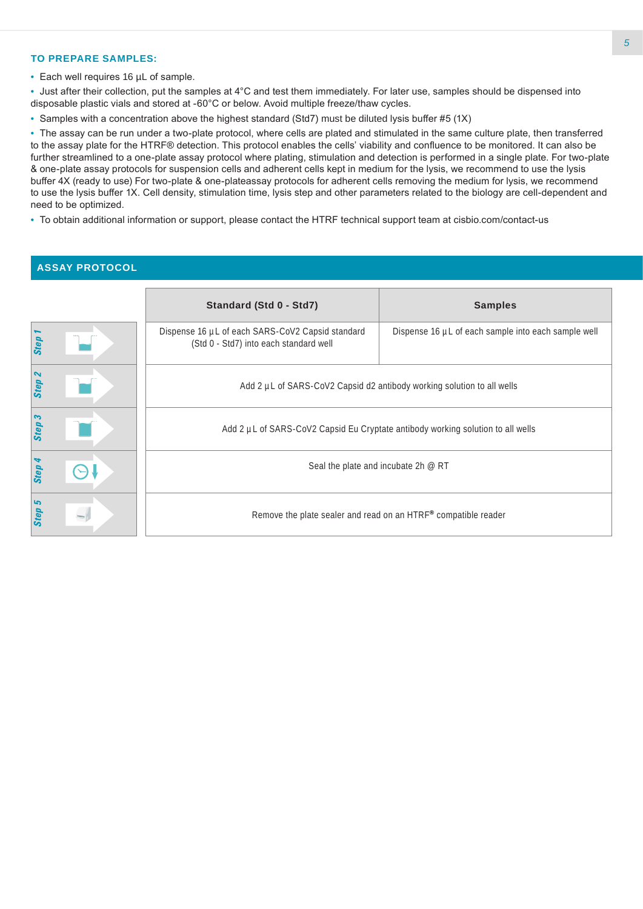# **TO PREPARE SAMPLES:**

• Each well requires 16 µL of sample.

• Just after their collection, put the samples at 4°C and test them immediately. For later use, samples should be dispensed into disposable plastic vials and stored at -60°C or below. Avoid multiple freeze/thaw cycles.

• Samples with a concentration above the highest standard (Std7) must be diluted lysis buffer #5 (1X)

• The assay can be run under a two-plate protocol, where cells are plated and stimulated in the same culture plate, then transferred to the assay plate for the HTRF® detection. This protocol enables the cells' viability and confluence to be monitored. It can also be further streamlined to a one-plate assay protocol where plating, stimulation and detection is performed in a single plate. For two-plate & one-plate assay protocols for suspension cells and adherent cells kept in medium for the lysis, we recommend to use the lysis buffer 4X (ready to use) For two-plate & one-plateassay protocols for adherent cells removing the medium for lysis, we recommend to use the lysis buffer 1X. Cell density, stimulation time, lysis step and other parameters related to the biology are cell-dependent and need to be optimized.

• To obtain additional information or support, please contact the HTRF technical support team at cisbio.com/contact-us

## **ASSAY PROTOCOL**

|                                   | Standard (Std 0 - Std7)                                                                    | <b>Samples</b>                                                 |  |  |
|-----------------------------------|--------------------------------------------------------------------------------------------|----------------------------------------------------------------|--|--|
| Step                              | Dispense 16 µL of each SARS-CoV2 Capsid standard<br>(Std 0 - Std7) into each standard well | Dispense 16 µL of each sample into each sample well            |  |  |
| $\boldsymbol{\mathsf{N}}$<br>Step | Add 2 µL of SARS-CoV2 Capsid d2 antibody working solution to all wells                     |                                                                |  |  |
| S<br>Step                         | Add 2 µL of SARS-CoV2 Capsid Eu Cryptate antibody working solution to all wells            |                                                                |  |  |
| <b>Step</b>                       | Seal the plate and incubate 2h @ RT                                                        |                                                                |  |  |
| ما<br><b>Step</b>                 |                                                                                            | Remove the plate sealer and read on an HTRF® compatible reader |  |  |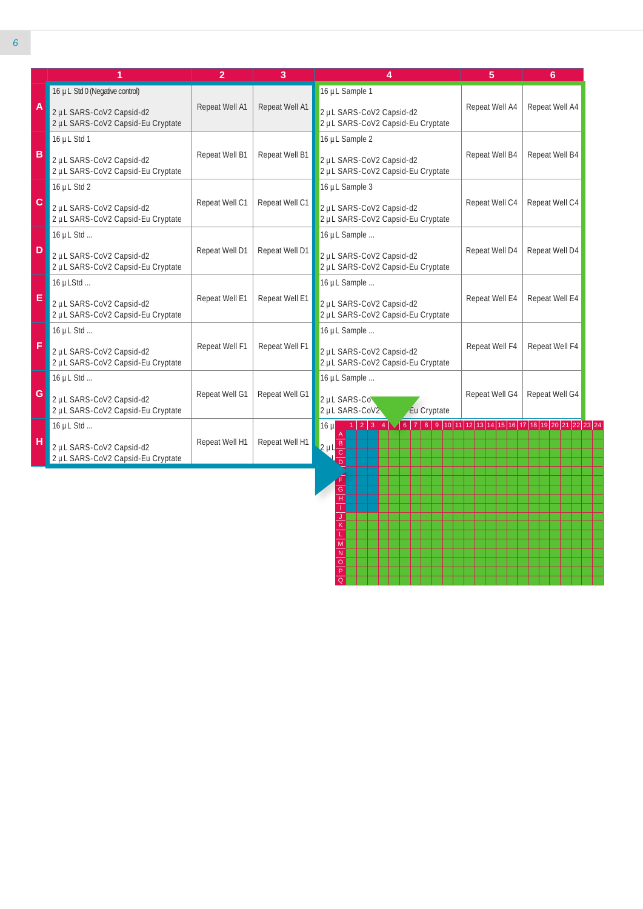|                           | 1                                                             | $\overline{2}$ | 3              | 4                                                             | 5                                                                                                                                                                                                                                                                                                                                                  | 6              |
|---------------------------|---------------------------------------------------------------|----------------|----------------|---------------------------------------------------------------|----------------------------------------------------------------------------------------------------------------------------------------------------------------------------------------------------------------------------------------------------------------------------------------------------------------------------------------------------|----------------|
|                           | 16 µL Std 0 (Negative control)                                |                |                | 16 µL Sample 1                                                |                                                                                                                                                                                                                                                                                                                                                    |                |
| $\boldsymbol{\mathsf{A}}$ | 2 µL SARS-CoV2 Capsid-d2<br>2 µL SARS-CoV2 Capsid-Eu Cryptate | Repeat Well A1 | Repeat Well A1 | 2 µL SARS-CoV2 Capsid-d2<br>2 µL SARS-CoV2 Capsid-Eu Cryptate | Repeat Well A4                                                                                                                                                                                                                                                                                                                                     | Repeat Well A4 |
|                           | 16 $\mu$ L Std 1                                              |                |                | 16 µL Sample 2                                                |                                                                                                                                                                                                                                                                                                                                                    |                |
| $\mathbf B$               | 2 µL SARS-CoV2 Capsid-d2<br>2 µL SARS-CoV2 Capsid-Eu Cryptate | Repeat Well B1 | Repeat Well B1 | 2 µL SARS-CoV2 Capsid-d2<br>2 µL SARS-CoV2 Capsid-Eu Cryptate | Repeat Well B4                                                                                                                                                                                                                                                                                                                                     | Repeat Well B4 |
|                           | 16 $\mu$ L Std 2                                              |                |                | 16 µL Sample 3                                                |                                                                                                                                                                                                                                                                                                                                                    |                |
| $\mathbf C$               | 2 µL SARS-CoV2 Capsid-d2<br>2 µL SARS-CoV2 Capsid-Eu Cryptate | Repeat Well C1 | Repeat Well C1 | 2 µL SARS-CoV2 Capsid-d2<br>2 µL SARS-CoV2 Capsid-Eu Cryptate | Repeat Well C4                                                                                                                                                                                                                                                                                                                                     | Repeat Well C4 |
|                           | 16 $\mu$ L Std                                                |                |                | 16 µL Sample                                                  |                                                                                                                                                                                                                                                                                                                                                    |                |
| D                         | 2 µL SARS-CoV2 Capsid-d2<br>2 µL SARS-CoV2 Capsid-Eu Cryptate | Repeat Well D1 | Repeat Well D1 | 2 µL SARS-CoV2 Capsid-d2<br>2 µL SARS-CoV2 Capsid-Eu Cryptate | Repeat Well D4                                                                                                                                                                                                                                                                                                                                     | Repeat Well D4 |
|                           | 16 µLStd                                                      |                |                | 16 µL Sample                                                  |                                                                                                                                                                                                                                                                                                                                                    |                |
| E                         | 2 µL SARS-CoV2 Capsid-d2<br>2 µL SARS-CoV2 Capsid-Eu Cryptate | Repeat Well E1 | Repeat Well E1 | 2 µL SARS-CoV2 Capsid-d2<br>2 µL SARS-CoV2 Capsid-Eu Cryptate | Repeat Well E4                                                                                                                                                                                                                                                                                                                                     | Repeat Well E4 |
|                           | 16 µL Std                                                     |                |                | 16 µL Sample                                                  |                                                                                                                                                                                                                                                                                                                                                    |                |
| F                         | 2 µL SARS-CoV2 Capsid-d2<br>2 µL SARS-CoV2 Capsid-Eu Cryptate | Repeat Well F1 | Repeat Well F1 | 2 µL SARS-CoV2 Capsid-d2<br>2 µL SARS-CoV2 Capsid-Eu Cryptate | Repeat Well F4                                                                                                                                                                                                                                                                                                                                     | Repeat Well F4 |
|                           | 16 µL Std                                                     |                |                | 16 µL Sample                                                  |                                                                                                                                                                                                                                                                                                                                                    |                |
| $\mathsf{G}$              | 2 µL SARS-CoV2 Capsid-d2<br>2 µL SARS-CoV2 Capsid-Eu Cryptate | Repeat Well G1 | Repeat Well G1 | 2 µL SARS-Co<br>2 µL SARS-CoV2<br>Eu Cryptate                 | Repeat Well G4                                                                                                                                                                                                                                                                                                                                     | Repeat Well G4 |
|                           | 16 µL Std                                                     |                |                | $1 2 3$ 4<br>16µ                                              | $\fbox{6}\  \, \vert\  \, 7\ \, \vert\  \, 8\ \, \vert\  \, 9\ \, \vert\  \, 10\,\vert\  \, 11\ \, \vert\  \, 12\ \, \vert\  \, 13\ \, \vert\  \, 14\ \, \vert\  \, 15\ \, \vert\  \, 16\ \, \vert\  \, 17\ \, \vert\  \, 18\ \, \vert\  \, 19\ \, \vert\  \, 20\ \, \vert\ 21\ \, \vert\ 22\ \, \vert\ 23\ \, \vert\ 24\ \, \vert\ 26\ \, \vert\$ |                |
| н                         | 2 µL SARS-CoV2 Capsid-d2<br>2 µL SARS-CoV2 Capsid-Eu Cryptate | Repeat Well H1 | Repeat Well H1 | $2 \mu \frac{B}{C}$                                           |                                                                                                                                                                                                                                                                                                                                                    |                |

H I J K L M N O P Q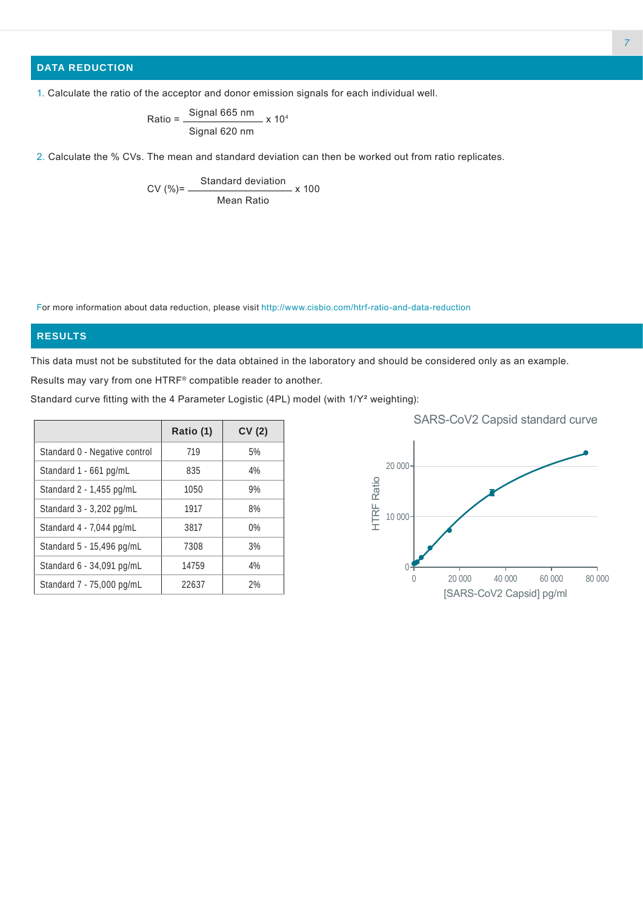# **DATA REDUCTION**

1. Calculate the ratio of the acceptor and donor emission signals for each individual well.

 $Ratio = \frac{Signal 665 nm}{...}$ Signal 620 nm  $- x 10<sup>4</sup>$ 

2. Calculate the % CVs. The mean and standard deviation can then be worked out from ratio replicates.

CV (%)= Standard deviation Mean Ratio  $- x 100$ 

For more information about data reduction, please visit http://www.cisbio.com/htrf-ratio-and-data-reduction

# **RESULTS**

This data must not be substituted for the data obtained in the laboratory and should be considered only as an example.

Results may vary from one HTRF® compatible reader to another.

Standard curve fitting with the 4 Parameter Logistic (4PL) model (with 1/Y² weighting):

|                               | Ratio (1) | CV(2) |
|-------------------------------|-----------|-------|
| Standard 0 - Negative control | 719       | 5%    |
| Standard 1 - 661 pg/mL        | 835       | 4%    |
| Standard 2 - 1,455 pg/mL      | 1050      | 9%    |
| Standard 3 - 3,202 pg/mL      | 1917      | 8%    |
| Standard 4 - 7,044 pg/mL      | 3817      | 0%    |
| Standard 5 - 15,496 pg/mL     | 7308      | 3%    |
| Standard 6 - 34,091 pg/mL     | 14759     | 4%    |
| Standard 7 - 75,000 pg/mL     | 22637     | 2%    |